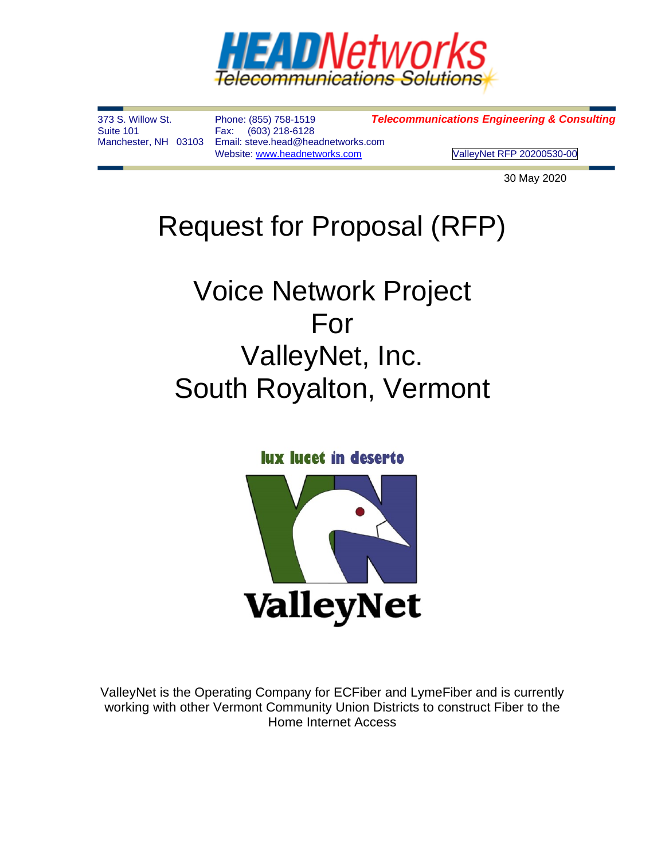

(603) 218-6128 Manchester, NH 03103 Email: steve.head@headnetworks.com

373 S. Willow St. Phone: (855) 758-1519 *Telecommunications Engineering & Consulting*

Website[: www.headnetworks.com](http://www.headnetworks.com/) ValleyNet RFP 20200530-00

30 May 2020

# Request for Proposal (RFP)

# Voice Network Project For ValleyNet, Inc. South Royalton, Vermont

**lux lucet in deserto** 



ValleyNet is the Operating Company for ECFiber and LymeFiber and is currently working with other Vermont Community Union Districts to construct Fiber to the Home Internet Access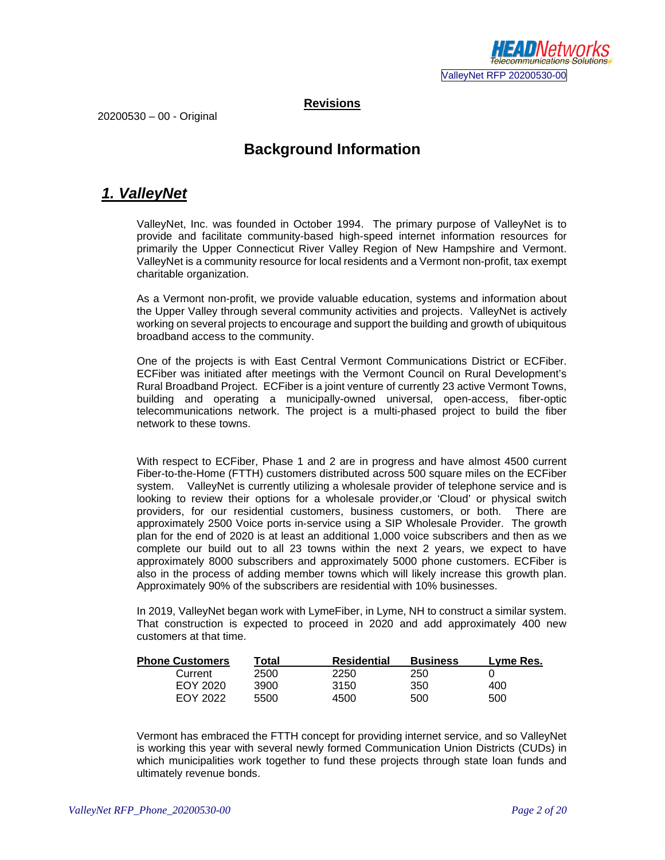

**Revisions**

20200530 – 00 - Original

#### **Background Information**

#### *1. ValleyNet*

ValleyNet, Inc. was founded in October 1994. The primary purpose of ValleyNet is to provide and facilitate community-based high-speed internet information resources for primarily the Upper Connecticut River Valley Region of New Hampshire and Vermont. ValleyNet is a community resource for local residents and a Vermont non-profit, tax exempt charitable organization.

As a Vermont non-profit, we provide valuable education, systems and information about the Upper Valley through several community activities and projects. ValleyNet is actively working on several projects to encourage and support the building and growth of ubiquitous broadband access to the community.

One of the projects is with East Central Vermont Communications District or ECFiber. ECFiber was initiated after meetings with the Vermont Council on Rural Development's Rural Broadband Project. ECFiber is a joint venture of currently 23 active Vermont Towns, building and operating a municipally-owned universal, open-access, fiber-optic telecommunications network. The project is a multi-phased project to build the fiber network to these towns.

With respect to ECFiber, Phase 1 and 2 are in progress and have almost 4500 current Fiber-to-the-Home (FTTH) customers distributed across 500 square miles on the ECFiber system. ValleyNet is currently utilizing a wholesale provider of telephone service and is looking to review their options for a wholesale provider,or 'Cloud' or physical switch providers, for our residential customers, business customers, or both. There are approximately 2500 Voice ports in-service using a SIP Wholesale Provider. The growth plan for the end of 2020 is at least an additional 1,000 voice subscribers and then as we complete our build out to all 23 towns within the next 2 years, we expect to have approximately 8000 subscribers and approximately 5000 phone customers. ECFiber is also in the process of adding member towns which will likely increase this growth plan. Approximately 90% of the subscribers are residential with 10% businesses.

In 2019, ValleyNet began work with LymeFiber, in Lyme, NH to construct a similar system. That construction is expected to proceed in 2020 and add approximately 400 new customers at that time.

| <b>Phone Customers</b> | Total | Residential | <b>Business</b> | Lyme Res. |
|------------------------|-------|-------------|-----------------|-----------|
| Current                | 2500  | 2250        | 250             |           |
| EOY 2020               | 3900  | 3150        | 350             | 400       |
| FOY 2022               | 5500  | 4500        | 500             | 500       |

Vermont has embraced the FTTH concept for providing internet service, and so ValleyNet is working this year with several newly formed Communication Union Districts (CUDs) in which municipalities work together to fund these projects through state loan funds and ultimately revenue bonds.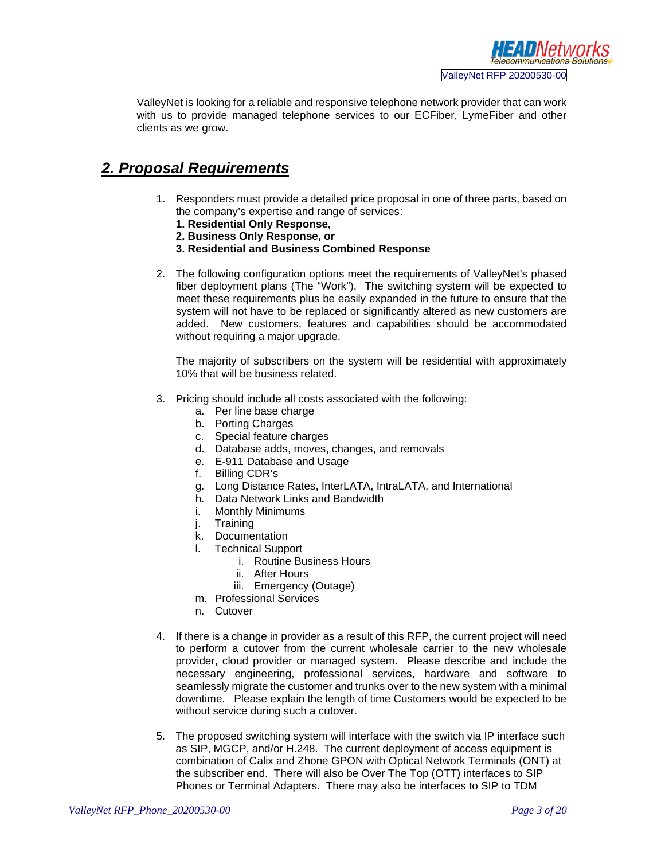

ValleyNet is looking for a reliable and responsive telephone network provider that can work with us to provide managed telephone services to our ECFiber, LymeFiber and other clients as we grow.

#### *2. Proposal Requirements*

- 1. Responders must provide a detailed price proposal in one of three parts, based on the company's expertise and range of services:
	- **1. Residential Only Response,**
	- **2. Business Only Response, or**
	- **3. Residential and Business Combined Response**
- 2. The following configuration options meet the requirements of ValleyNet's phased fiber deployment plans (The "Work"). The switching system will be expected to meet these requirements plus be easily expanded in the future to ensure that the system will not have to be replaced or significantly altered as new customers are added. New customers, features and capabilities should be accommodated without requiring a major upgrade.

The majority of subscribers on the system will be residential with approximately 10% that will be business related.

- 3. Pricing should include all costs associated with the following:
	- a. Per line base charge
	- b. Porting Charges
	- c. Special feature charges
	- d. Database adds, moves, changes, and removals
	- e. E-911 Database and Usage
	- f. Billing CDR's
	- g. Long Distance Rates, InterLATA, IntraLATA, and International
	- h. Data Network Links and Bandwidth
	- i. Monthly Minimums
	- j. Training
	- k. Documentation
	- l. Technical Support
		- i. Routine Business Hours
		- ii. After Hours
		- iii. Emergency (Outage)
	- m. Professional Services
	- n. Cutover
- 4. If there is a change in provider as a result of this RFP, the current project will need to perform a cutover from the current wholesale carrier to the new wholesale provider, cloud provider or managed system. Please describe and include the necessary engineering, professional services, hardware and software to seamlessly migrate the customer and trunks over to the new system with a minimal downtime. Please explain the length of time Customers would be expected to be without service during such a cutover.
- 5. The proposed switching system will interface with the switch via IP interface such as SIP, MGCP, and/or H.248. The current deployment of access equipment is combination of Calix and Zhone GPON with Optical Network Terminals (ONT) at the subscriber end. There will also be Over The Top (OTT) interfaces to SIP Phones or Terminal Adapters. There may also be interfaces to SIP to TDM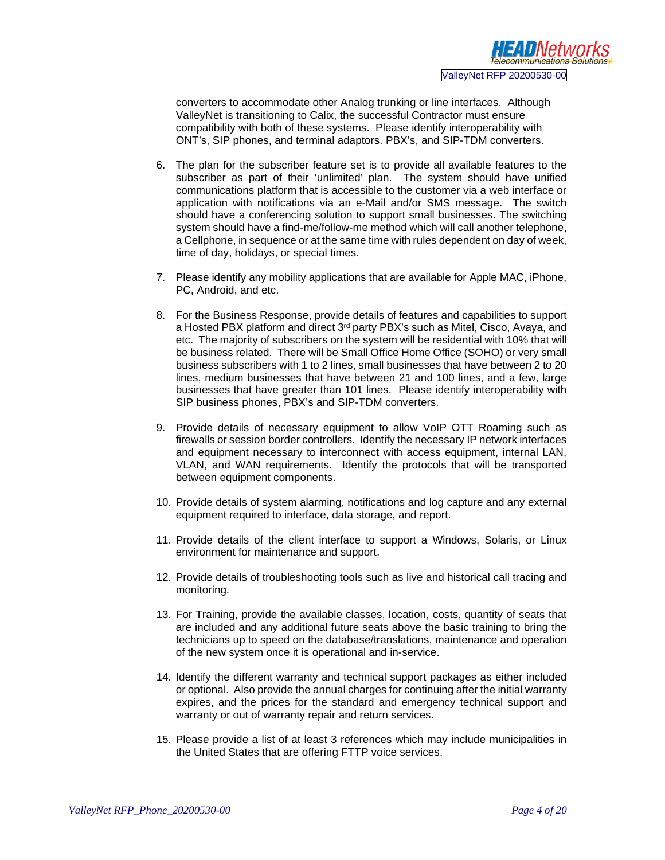converters to accommodate other Analog trunking or line interfaces. Although ValleyNet is transitioning to Calix, the successful Contractor must ensure compatibility with both of these systems. Please identify interoperability with ONT's, SIP phones, and terminal adaptors. PBX's, and SIP-TDM converters.

- 6. The plan for the subscriber feature set is to provide all available features to the subscriber as part of their 'unlimited' plan. The system should have unified communications platform that is accessible to the customer via a web interface or application with notifications via an e-Mail and/or SMS message. The switch should have a conferencing solution to support small businesses. The switching system should have a find-me/follow-me method which will call another telephone, a Cellphone, in sequence or at the same time with rules dependent on day of week, time of day, holidays, or special times.
- 7. Please identify any mobility applications that are available for Apple MAC, iPhone, PC, Android, and etc.
- 8. For the Business Response, provide details of features and capabilities to support a Hosted PBX platform and direct 3<sup>rd</sup> party PBX's such as Mitel, Cisco, Avaya, and etc. The majority of subscribers on the system will be residential with 10% that will be business related. There will be Small Office Home Office (SOHO) or very small business subscribers with 1 to 2 lines, small businesses that have between 2 to 20 lines, medium businesses that have between 21 and 100 lines, and a few, large businesses that have greater than 101 lines. Please identify interoperability with SIP business phones, PBX's and SIP-TDM converters.
- 9. Provide details of necessary equipment to allow VoIP OTT Roaming such as firewalls or session border controllers. Identify the necessary IP network interfaces and equipment necessary to interconnect with access equipment, internal LAN, VLAN, and WAN requirements. Identify the protocols that will be transported between equipment components.
- 10. Provide details of system alarming, notifications and log capture and any external equipment required to interface, data storage, and report.
- 11. Provide details of the client interface to support a Windows, Solaris, or Linux environment for maintenance and support.
- 12. Provide details of troubleshooting tools such as live and historical call tracing and monitoring.
- 13. For Training, provide the available classes, location, costs, quantity of seats that are included and any additional future seats above the basic training to bring the technicians up to speed on the database/translations, maintenance and operation of the new system once it is operational and in-service.
- 14. Identify the different warranty and technical support packages as either included or optional. Also provide the annual charges for continuing after the initial warranty expires, and the prices for the standard and emergency technical support and warranty or out of warranty repair and return services.
- 15. Please provide a list of at least 3 references which may include municipalities in the United States that are offering FTTP voice services.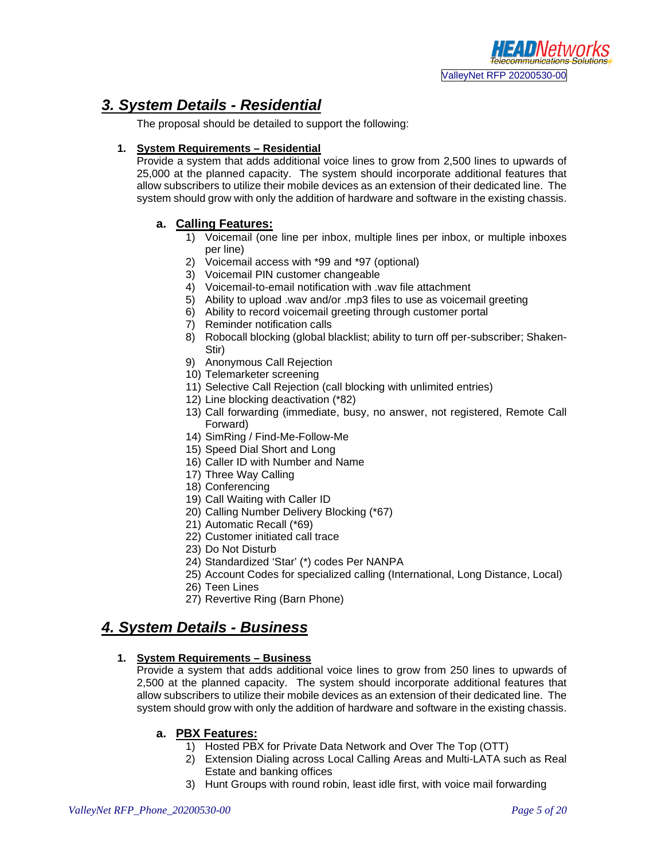#### *3. System Details - Residential*

The proposal should be detailed to support the following:

#### **1. System Requirements – Residential**

Provide a system that adds additional voice lines to grow from 2,500 lines to upwards of 25,000 at the planned capacity. The system should incorporate additional features that allow subscribers to utilize their mobile devices as an extension of their dedicated line. The system should grow with only the addition of hardware and software in the existing chassis.

#### **a. Calling Features:**

- 1) Voicemail (one line per inbox, multiple lines per inbox, or multiple inboxes per line)
- 2) Voicemail access with \*99 and \*97 (optional)
- 3) Voicemail PIN customer changeable
- 4) Voicemail-to-email notification with .wav file attachment
- 5) Ability to upload .wav and/or .mp3 files to use as voicemail greeting
- 6) Ability to record voicemail greeting through customer portal
- 7) Reminder notification calls
- 8) Robocall blocking (global blacklist; ability to turn off per-subscriber; Shaken-Stir)
- 9) Anonymous Call Rejection
- 10) Telemarketer screening
- 11) Selective Call Rejection (call blocking with unlimited entries)
- 12) Line blocking deactivation (\*82)
- 13) Call forwarding (immediate, busy, no answer, not registered, Remote Call Forward)
- 14) SimRing / Find-Me-Follow-Me
- 15) Speed Dial Short and Long
- 16) Caller ID with Number and Name
- 17) Three Way Calling
- 18) Conferencing
- 19) Call Waiting with Caller ID
- 20) Calling Number Delivery Blocking (\*67)
- 21) Automatic Recall (\*69)
- 22) Customer initiated call trace
- 23) Do Not Disturb
- 24) Standardized 'Star' (\*) codes Per NANPA
- 25) Account Codes for specialized calling (International, Long Distance, Local)
- 26) Teen Lines
- 27) Revertive Ring (Barn Phone)

#### *4. System Details - Business*

#### **1. System Requirements – Business**

Provide a system that adds additional voice lines to grow from 250 lines to upwards of 2,500 at the planned capacity. The system should incorporate additional features that allow subscribers to utilize their mobile devices as an extension of their dedicated line. The system should grow with only the addition of hardware and software in the existing chassis.

#### **a. PBX Features:**

- 1) Hosted PBX for Private Data Network and Over The Top (OTT)
- 2) Extension Dialing across Local Calling Areas and Multi-LATA such as Real Estate and banking offices
- 3) Hunt Groups with round robin, least idle first, with voice mail forwarding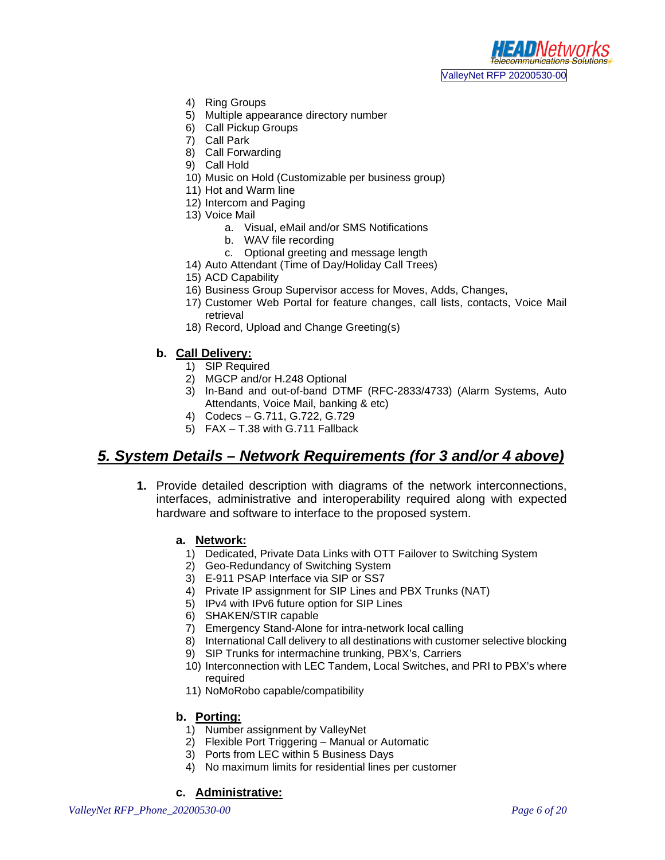

- 4) Ring Groups
- 5) Multiple appearance directory number
- 6) Call Pickup Groups
- 7) Call Park
- 8) Call Forwarding
- 9) Call Hold
- 10) Music on Hold (Customizable per business group)
- 11) Hot and Warm line
- 12) Intercom and Paging
- 13) Voice Mail
	- a. Visual, eMail and/or SMS Notifications
	- b. WAV file recording
	- c. Optional greeting and message length
- 14) Auto Attendant (Time of Day/Holiday Call Trees)
- 15) ACD Capability
- 16) Business Group Supervisor access for Moves, Adds, Changes,
- 17) Customer Web Portal for feature changes, call lists, contacts, Voice Mail retrieval
- 18) Record, Upload and Change Greeting(s)

#### **b. Call Delivery:**

- 1) SIP Required
- 2) MGCP and/or H.248 Optional
- 3) In-Band and out-of-band DTMF (RFC-2833/4733) (Alarm Systems, Auto Attendants, Voice Mail, banking & etc)
- 4) Codecs G.711, G.722, G.729
- 5) FAX T.38 with G.711 Fallback

#### *5. System Details – Network Requirements (for 3 and/or 4 above)*

**1.** Provide detailed description with diagrams of the network interconnections, interfaces, administrative and interoperability required along with expected hardware and software to interface to the proposed system.

#### **a. Network:**

- 1) Dedicated, Private Data Links with OTT Failover to Switching System
- 2) Geo-Redundancy of Switching System
- 3) E-911 PSAP Interface via SIP or SS7
- 4) Private IP assignment for SIP Lines and PBX Trunks (NAT)
- 5) IPv4 with IPv6 future option for SIP Lines
- 6) SHAKEN/STIR capable
- 7) Emergency Stand-Alone for intra-network local calling
- 8) International Call delivery to all destinations with customer selective blocking
- 9) SIP Trunks for intermachine trunking, PBX's, Carriers
- 10) Interconnection with LEC Tandem, Local Switches, and PRI to PBX's where required
- 11) NoMoRobo capable/compatibility

#### **b. Porting:**

- 1) Number assignment by ValleyNet
- 2) Flexible Port Triggering Manual or Automatic
- 3) Ports from LEC within 5 Business Days
- 4) No maximum limits for residential lines per customer

#### **c. Administrative:**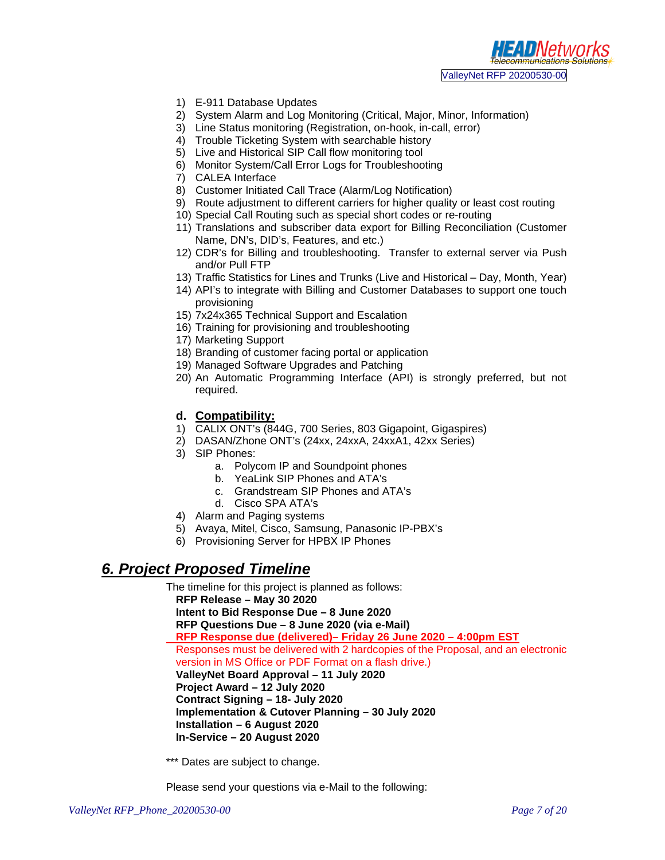

- 1) E-911 Database Updates
- 2) System Alarm and Log Monitoring (Critical, Major, Minor, Information)
- 3) Line Status monitoring (Registration, on-hook, in-call, error)
- 4) Trouble Ticketing System with searchable history
- 5) Live and Historical SIP Call flow monitoring tool
- 6) Monitor System/Call Error Logs for Troubleshooting
- 7) CALEA Interface
- 8) Customer Initiated Call Trace (Alarm/Log Notification)
- 9) Route adjustment to different carriers for higher quality or least cost routing
- 10) Special Call Routing such as special short codes or re-routing
- 11) Translations and subscriber data export for Billing Reconciliation (Customer Name, DN's, DID's, Features, and etc.)
- 12) CDR's for Billing and troubleshooting. Transfer to external server via Push and/or Pull FTP
- 13) Traffic Statistics for Lines and Trunks (Live and Historical Day, Month, Year)
- 14) API's to integrate with Billing and Customer Databases to support one touch provisioning
- 15) 7x24x365 Technical Support and Escalation
- 16) Training for provisioning and troubleshooting
- 17) Marketing Support
- 18) Branding of customer facing portal or application
- 19) Managed Software Upgrades and Patching
- 20) An Automatic Programming Interface (API) is strongly preferred, but not required.
- **d. Compatibility:**
- 1) CALIX ONT's (844G, 700 Series, 803 Gigapoint, Gigaspires)
- 2) DASAN/Zhone ONT's (24xx, 24xxA, 24xxA1, 42xx Series)
- 3) SIP Phones:
	- a. Polycom IP and Soundpoint phones
	- b. YeaLink SIP Phones and ATA's
	- c. Grandstream SIP Phones and ATA's
	- d. Cisco SPA ATA's
- 4) Alarm and Paging systems
- 5) Avaya, Mitel, Cisco, Samsung, Panasonic IP-PBX's
- 6) Provisioning Server for HPBX IP Phones

#### *6. Project Proposed Timeline*

The timeline for this project is planned as follows: **RFP Release – May 30 2020 Intent to Bid Response Due – 8 June 2020 RFP Questions Due – 8 June 2020 (via e-Mail) RFP Response due (delivered)– Friday 26 June 2020 – 4:00pm EST** Responses must be delivered with 2 hardcopies of the Proposal, and an electronic version in MS Office or PDF Format on a flash drive.) **ValleyNet Board Approval – 11 July 2020 Project Award – 12 July 2020 Contract Signing – 18- July 2020 Implementation & Cutover Planning – 30 July 2020 Installation – 6 August 2020 In-Service – 20 August 2020**

\*\*\* Dates are subject to change.

Please send your questions via e-Mail to the following: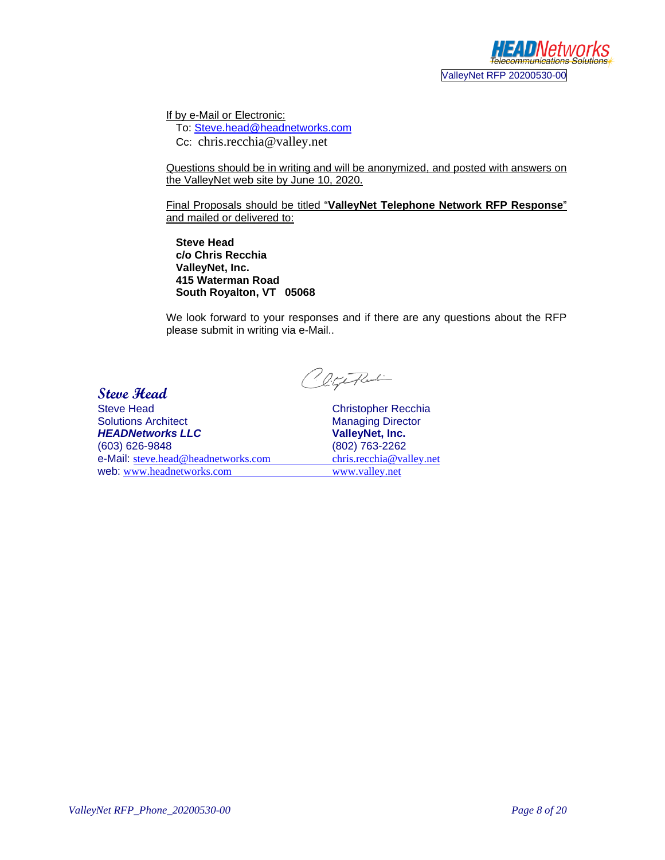

If by e-Mail or Electronic:

To: [Steve.head@headnetworks.com](mailto:Steve.head@headnetworks.com) Cc: chris.recchia@valley.net

Questions should be in writing and will be anonymized, and posted with answers on the ValleyNet web site by June 10, 2020.

Final Proposals should be titled "**ValleyNet Telephone Network RFP Response**" and mailed or delivered to:

**Steve Head c/o Chris Recchia ValleyNet, Inc. 415 Waterman Road South Royalton, VT 05068**

We look forward to your responses and if there are any questions about the RFP please submit in writing via e-Mail..

**Steve Head** 

ClifeFlutin

Steve Head Christopher Recchia Solutions Architect Managing Director<br> **HEADNetworks LLC** Managing Director<br>
ValleyNet, Inc. *HEADNetworks LLC* (603) 626-9848 e-Mail: <u>[steve.head@headnetworks.com](mailto:steve.head@headnetworks.com) chris.recchia@valley.net</u><br>web: www.headnetworks.com www.valley.net web: [www.headnetworks.com](http://www.headnetworks.com/)

(802) 763-2262<br>chris.recchia@valley.net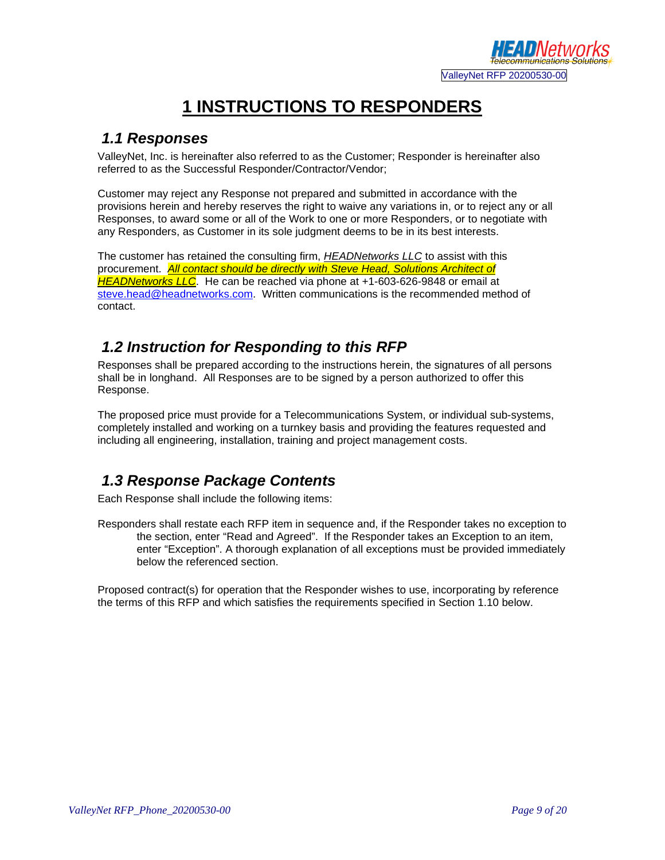

# **1 INSTRUCTIONS TO RESPONDERS**

#### *1.1 Responses*

ValleyNet, Inc. is hereinafter also referred to as the Customer; Responder is hereinafter also referred to as the Successful Responder/Contractor/Vendor;

Customer may reject any Response not prepared and submitted in accordance with the provisions herein and hereby reserves the right to waive any variations in, or to reject any or all Responses, to award some or all of the Work to one or more Responders, or to negotiate with any Responders, as Customer in its sole judgment deems to be in its best interests.

The customer has retained the consulting firm, *HEADNetworks LLC* to assist with this procurement. *All contact should be directly with Steve Head, Solutions Architect of HEADNetworks LLC*. He can be reached via phone at +1-603-626-9848 or email at [steve.head@headnetworks.com.](mailto:steve.head@headnetworks.com) Written communications is the recommended method of contact.

#### *1.2 Instruction for Responding to this RFP*

Responses shall be prepared according to the instructions herein, the signatures of all persons shall be in longhand. All Responses are to be signed by a person authorized to offer this Response.

The proposed price must provide for a Telecommunications System, or individual sub-systems, completely installed and working on a turnkey basis and providing the features requested and including all engineering, installation, training and project management costs.

# *1.3 Response Package Contents*

Each Response shall include the following items:

Responders shall restate each RFP item in sequence and, if the Responder takes no exception to the section, enter "Read and Agreed". If the Responder takes an Exception to an item, enter "Exception". A thorough explanation of all exceptions must be provided immediately below the referenced section.

Proposed contract(s) for operation that the Responder wishes to use, incorporating by reference the terms of this RFP and which satisfies the requirements specified in Section 1.10 below.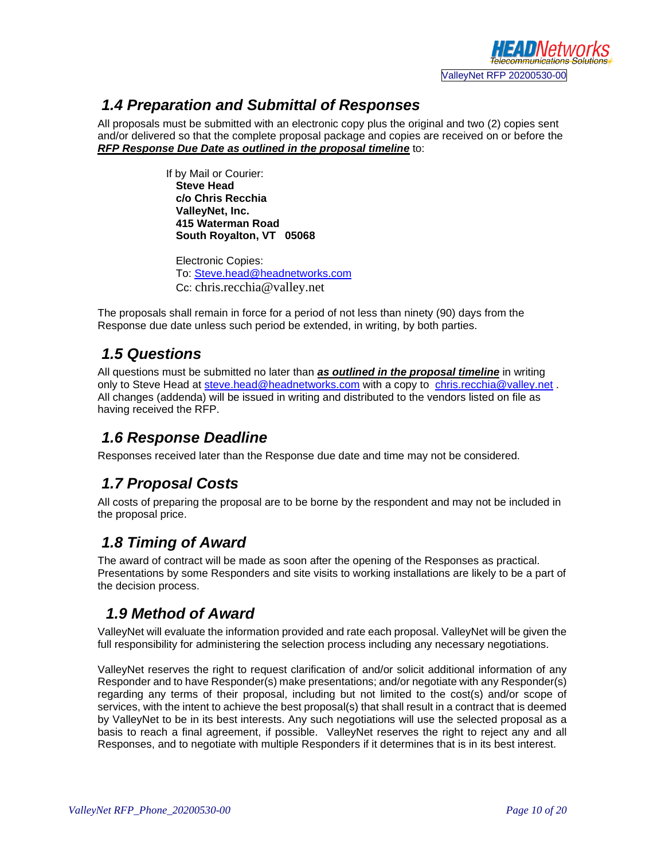

#### *1.4 Preparation and Submittal of Responses*

All proposals must be submitted with an electronic copy plus the original and two (2) copies sent and/or delivered so that the complete proposal package and copies are received on or before the *RFP Response Due Date as outlined in the proposal timeline* to:

> If by Mail or Courier: **Steve Head c/o Chris Recchia ValleyNet, Inc. 415 Waterman Road South Royalton, VT 05068**

Electronic Copies: To: [Steve.head@headnetworks.com](mailto:Steve.head@headnetworks.com) Cc: chris.recchia@valley.net

The proposals shall remain in force for a period of not less than ninety (90) days from the Response due date unless such period be extended, in writing, by both parties.

#### *1.5 Questions*

All questions must be submitted no later than *as outlined in the proposal timeline* in writing only to Steve Head at [steve.head@headnetworks.com](mailto:steve.head@headnetworks.com) with a copy to [chris.recchia@valley.net](mailto:chris.recchia@valley.net). All changes (addenda) will be issued in writing and distributed to the vendors listed on file as having received the RFP.

#### *1.6 Response Deadline*

Responses received later than the Response due date and time may not be considered.

# *1.7 Proposal Costs*

All costs of preparing the proposal are to be borne by the respondent and may not be included in the proposal price.

# *1.8 Timing of Award*

The award of contract will be made as soon after the opening of the Responses as practical. Presentations by some Responders and site visits to working installations are likely to be a part of the decision process.

# *1.9 Method of Award*

ValleyNet will evaluate the information provided and rate each proposal. ValleyNet will be given the full responsibility for administering the selection process including any necessary negotiations.

ValleyNet reserves the right to request clarification of and/or solicit additional information of any Responder and to have Responder(s) make presentations; and/or negotiate with any Responder(s) regarding any terms of their proposal, including but not limited to the cost(s) and/or scope of services, with the intent to achieve the best proposal(s) that shall result in a contract that is deemed by ValleyNet to be in its best interests. Any such negotiations will use the selected proposal as a basis to reach a final agreement, if possible. ValleyNet reserves the right to reject any and all Responses, and to negotiate with multiple Responders if it determines that is in its best interest.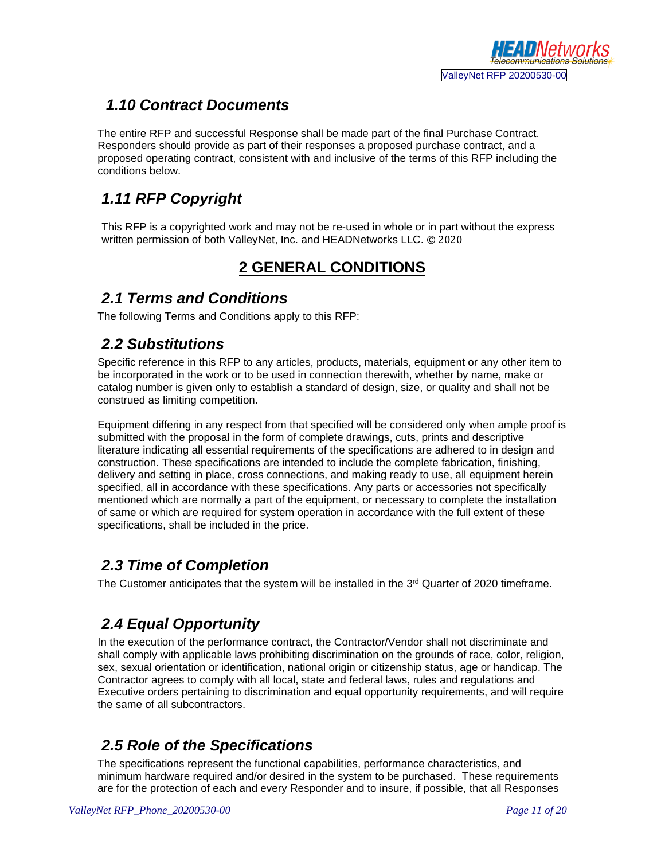

#### *1.10 Contract Documents*

The entire RFP and successful Response shall be made part of the final Purchase Contract.Responders should provide as part of their responses a proposed purchase contract, and a proposed operating contract, consistent with and inclusive of the terms of this RFP including the conditions below.

# *1.11 RFP Copyright*

This RFP is a copyrighted work and may not be re-used in whole or in part without the express written permission of both ValleyNet, Inc. and HEADNetworks LLC. © 2020

# **2 GENERAL CONDITIONS**

#### *2.1 Terms and Conditions*

The following Terms and Conditions apply to this RFP:

#### *2.2 Substitutions*

Specific reference in this RFP to any articles, products, materials, equipment or any other item to be incorporated in the work or to be used in connection therewith, whether by name, make or catalog number is given only to establish a standard of design, size, or quality and shall not be construed as limiting competition.

Equipment differing in any respect from that specified will be considered only when ample proof is submitted with the proposal in the form of complete drawings, cuts, prints and descriptive literature indicating all essential requirements of the specifications are adhered to in design and construction. These specifications are intended to include the complete fabrication, finishing, delivery and setting in place, cross connections, and making ready to use, all equipment herein specified, all in accordance with these specifications. Any parts or accessories not specifically mentioned which are normally a part of the equipment, or necessary to complete the installation of same or which are required for system operation in accordance with the full extent of these specifications, shall be included in the price.

#### *2.3 Time of Completion*

The Customer anticipates that the system will be installed in the 3<sup>rd</sup> Quarter of 2020 timeframe.

# *2.4 Equal Opportunity*

In the execution of the performance contract, the Contractor/Vendor shall not discriminate and shall comply with applicable laws prohibiting discrimination on the grounds of race, color, religion, sex, sexual orientation or identification, national origin or citizenship status, age or handicap. The Contractor agrees to comply with all local, state and federal laws, rules and regulations and Executive orders pertaining to discrimination and equal opportunity requirements, and will require the same of all subcontractors.

#### *2.5 Role of the Specifications*

The specifications represent the functional capabilities, performance characteristics, and minimum hardware required and/or desired in the system to be purchased. These requirements are for the protection of each and every Responder and to insure, if possible, that all Responses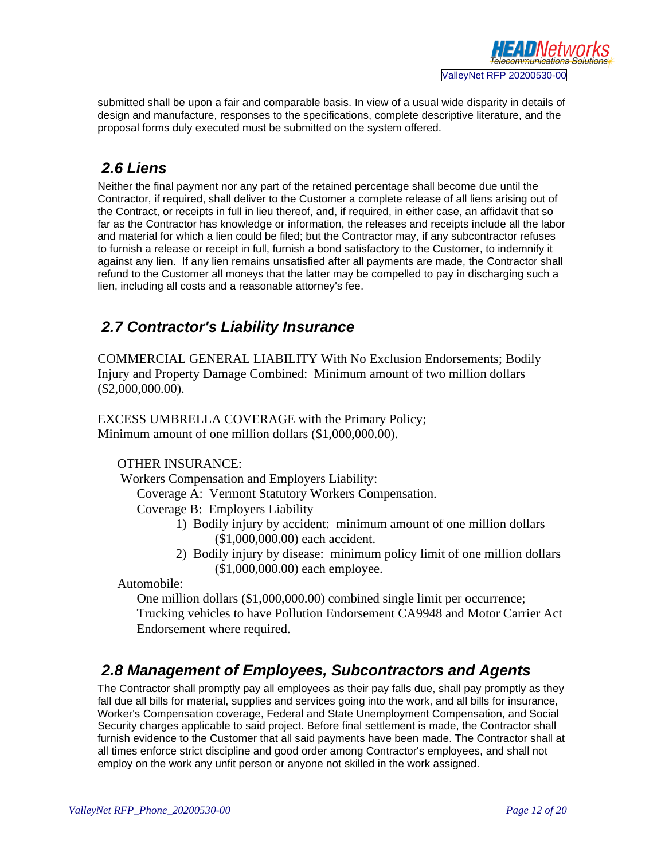

submitted shall be upon a fair and comparable basis. In view of a usual wide disparity in details of design and manufacture, responses to the specifications, complete descriptive literature, and the proposal forms duly executed must be submitted on the system offered.

# *2.6 Liens*

Neither the final payment nor any part of the retained percentage shall become due until the Contractor, if required, shall deliver to the Customer a complete release of all liens arising out of the Contract, or receipts in full in lieu thereof, and, if required, in either case, an affidavit that so far as the Contractor has knowledge or information, the releases and receipts include all the labor and material for which a lien could be filed; but the Contractor may, if any subcontractor refuses to furnish a release or receipt in full, furnish a bond satisfactory to the Customer, to indemnify it against any lien. If any lien remains unsatisfied after all payments are made, the Contractor shall refund to the Customer all moneys that the latter may be compelled to pay in discharging such a lien, including all costs and a reasonable attorney's fee.

# *2.7 Contractor's Liability Insurance*

COMMERCIAL GENERAL LIABILITY With No Exclusion Endorsements; Bodily Injury and Property Damage Combined: Minimum amount of two million dollars (\$2,000,000.00).

EXCESS UMBRELLA COVERAGE with the Primary Policy; Minimum amount of one million dollars (\$1,000,000.00).

#### OTHER INSURANCE:

Workers Compensation and Employers Liability:

Coverage A: Vermont Statutory Workers Compensation.

Coverage B: Employers Liability

- 1) Bodily injury by accident: minimum amount of one million dollars (\$1,000,000.00) each accident.
- 2) Bodily injury by disease: minimum policy limit of one million dollars (\$1,000,000.00) each employee.

Automobile:

One million dollars (\$1,000,000.00) combined single limit per occurrence; Trucking vehicles to have Pollution Endorsement CA9948 and Motor Carrier Act Endorsement where required.

#### *2.8 Management of Employees, Subcontractors and Agents*

The Contractor shall promptly pay all employees as their pay falls due, shall pay promptly as they fall due all bills for material, supplies and services going into the work, and all bills for insurance, Worker's Compensation coverage, Federal and State Unemployment Compensation, and Social Security charges applicable to said project. Before final settlement is made, the Contractor shall furnish evidence to the Customer that all said payments have been made. The Contractor shall at all times enforce strict discipline and good order among Contractor's employees, and shall not employ on the work any unfit person or anyone not skilled in the work assigned.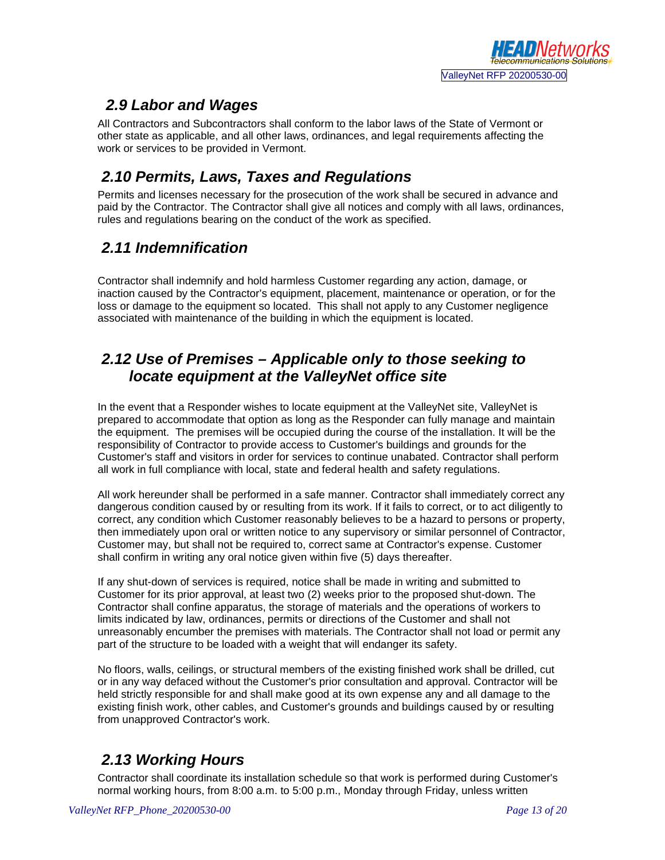

# *2.9 Labor and Wages*

All Contractors and Subcontractors shall conform to the labor laws of the State of Vermont or other state as applicable, and all other laws, ordinances, and legal requirements affecting the work or services to be provided in Vermont.

#### *2.10 Permits, Laws, Taxes and Regulations*

Permits and licenses necessary for the prosecution of the work shall be secured in advance and paid by the Contractor. The Contractor shall give all notices and comply with all laws, ordinances, rules and regulations bearing on the conduct of the work as specified.

#### *2.11 Indemnification*

Contractor shall indemnify and hold harmless Customer regarding any action, damage, or inaction caused by the Contractor's equipment, placement, maintenance or operation, or for the loss or damage to the equipment so located. This shall not apply to any Customer negligence associated with maintenance of the building in which the equipment is located.

#### *2.12 Use of Premises – Applicable only to those seeking to locate equipment at the ValleyNet office site*

In the event that a Responder wishes to locate equipment at the ValleyNet site, ValleyNet is prepared to accommodate that option as long as the Responder can fully manage and maintain the equipment. The premises will be occupied during the course of the installation. It will be the responsibility of Contractor to provide access to Customer's buildings and grounds for the Customer's staff and visitors in order for services to continue unabated. Contractor shall perform all work in full compliance with local, state and federal health and safety regulations.

All work hereunder shall be performed in a safe manner. Contractor shall immediately correct any dangerous condition caused by or resulting from its work. If it fails to correct, or to act diligently to correct, any condition which Customer reasonably believes to be a hazard to persons or property, then immediately upon oral or written notice to any supervisory or similar personnel of Contractor, Customer may, but shall not be required to, correct same at Contractor's expense. Customer shall confirm in writing any oral notice given within five (5) days thereafter.

If any shut-down of services is required, notice shall be made in writing and submitted to Customer for its prior approval, at least two (2) weeks prior to the proposed shut-down. The Contractor shall confine apparatus, the storage of materials and the operations of workers to limits indicated by law, ordinances, permits or directions of the Customer and shall not unreasonably encumber the premises with materials. The Contractor shall not load or permit any part of the structure to be loaded with a weight that will endanger its safety.

No floors, walls, ceilings, or structural members of the existing finished work shall be drilled, cut or in any way defaced without the Customer's prior consultation and approval. Contractor will be held strictly responsible for and shall make good at its own expense any and all damage to the existing finish work, other cables, and Customer's grounds and buildings caused by or resulting from unapproved Contractor's work.

# *2.13 Working Hours*

Contractor shall coordinate its installation schedule so that work is performed during Customer's normal working hours, from 8:00 a.m. to 5:00 p.m., Monday through Friday, unless written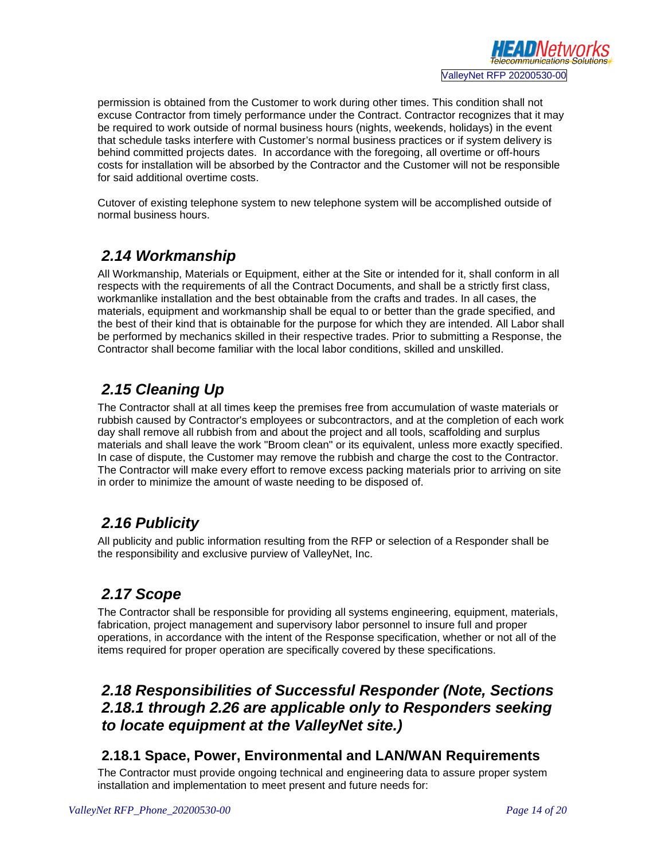

permission is obtained from the Customer to work during other times. This condition shall not excuse Contractor from timely performance under the Contract. Contractor recognizes that it may be required to work outside of normal business hours (nights, weekends, holidays) in the event that schedule tasks interfere with Customer's normal business practices or if system delivery is behind committed projects dates. In accordance with the foregoing, all overtime or off-hours costs for installation will be absorbed by the Contractor and the Customer will not be responsible for said additional overtime costs.

Cutover of existing telephone system to new telephone system will be accomplished outside of normal business hours.

# *2.14 Workmanship*

All Workmanship, Materials or Equipment, either at the Site or intended for it, shall conform in all respects with the requirements of all the Contract Documents, and shall be a strictly first class, workmanlike installation and the best obtainable from the crafts and trades. In all cases, the materials, equipment and workmanship shall be equal to or better than the grade specified, and the best of their kind that is obtainable for the purpose for which they are intended. All Labor shall be performed by mechanics skilled in their respective trades. Prior to submitting a Response, the Contractor shall become familiar with the local labor conditions, skilled and unskilled.

# *2.15 Cleaning Up*

The Contractor shall at all times keep the premises free from accumulation of waste materials or rubbish caused by Contractor's employees or subcontractors, and at the completion of each work day shall remove all rubbish from and about the project and all tools, scaffolding and surplus materials and shall leave the work "Broom clean" or its equivalent, unless more exactly specified. In case of dispute, the Customer may remove the rubbish and charge the cost to the Contractor. The Contractor will make every effort to remove excess packing materials prior to arriving on site in order to minimize the amount of waste needing to be disposed of.

# *2.16 Publicity*

All publicity and public information resulting from the RFP or selection of a Responder shall be the responsibility and exclusive purview of ValleyNet, Inc.

# *2.17 Scope*

The Contractor shall be responsible for providing all systems engineering, equipment, materials, fabrication, project management and supervisory labor personnel to insure full and proper operations, in accordance with the intent of the Response specification, whether or not all of the items required for proper operation are specifically covered by these specifications.

#### *2.18 Responsibilities of Successful Responder (Note, Sections 2.18.1 through 2.26 are applicable only to Responders seeking to locate equipment at the ValleyNet site.)*

#### **2.18.1 Space, Power, Environmental and LAN/WAN Requirements**

The Contractor must provide ongoing technical and engineering data to assure proper system installation and implementation to meet present and future needs for: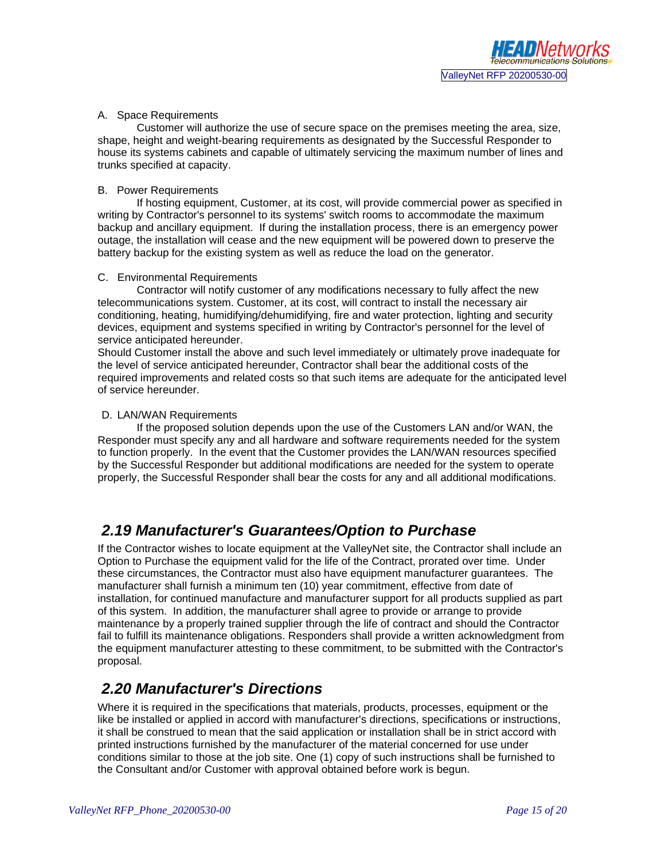#### A. Space Requirements

Customer will authorize the use of secure space on the premises meeting the area, size, shape, height and weight-bearing requirements as designated by the Successful Responder to house its systems cabinets and capable of ultimately servicing the maximum number of lines and trunks specified at capacity.

#### B. Power Requirements

If hosting equipment, Customer, at its cost, will provide commercial power as specified in writing by Contractor's personnel to its systems' switch rooms to accommodate the maximum backup and ancillary equipment. If during the installation process, there is an emergency power outage, the installation will cease and the new equipment will be powered down to preserve the battery backup for the existing system as well as reduce the load on the generator.

#### C. Environmental Requirements

Contractor will notify customer of any modifications necessary to fully affect the new telecommunications system. Customer, at its cost, will contract to install the necessary air conditioning, heating, humidifying/dehumidifying, fire and water protection, lighting and security devices, equipment and systems specified in writing by Contractor's personnel for the level of service anticipated hereunder.

Should Customer install the above and such level immediately or ultimately prove inadequate for the level of service anticipated hereunder, Contractor shall bear the additional costs of the required improvements and related costs so that such items are adequate for the anticipated level of service hereunder.

#### D. LAN/WAN Requirements

If the proposed solution depends upon the use of the Customers LAN and/or WAN, the Responder must specify any and all hardware and software requirements needed for the system to function properly. In the event that the Customer provides the LAN/WAN resources specified by the Successful Responder but additional modifications are needed for the system to operate properly, the Successful Responder shall bear the costs for any and all additional modifications.

#### *2.19 Manufacturer's Guarantees/Option to Purchase*

If the Contractor wishes to locate equipment at the ValleyNet site, the Contractor shall include an Option to Purchase the equipment valid for the life of the Contract, prorated over time. Under these circumstances, the Contractor must also have equipment manufacturer guarantees. The manufacturer shall furnish a minimum ten (10) year commitment, effective from date of installation, for continued manufacture and manufacturer support for all products supplied as part of this system. In addition, the manufacturer shall agree to provide or arrange to provide maintenance by a properly trained supplier through the life of contract and should the Contractor fail to fulfill its maintenance obligations. Responders shall provide a written acknowledgment from the equipment manufacturer attesting to these commitment, to be submitted with the Contractor's proposal.

#### *2.20 Manufacturer's Directions*

Where it is required in the specifications that materials, products, processes, equipment or the like be installed or applied in accord with manufacturer's directions, specifications or instructions, it shall be construed to mean that the said application or installation shall be in strict accord with printed instructions furnished by the manufacturer of the material concerned for use under conditions similar to those at the job site. One (1) copy of such instructions shall be furnished to the Consultant and/or Customer with approval obtained before work is begun.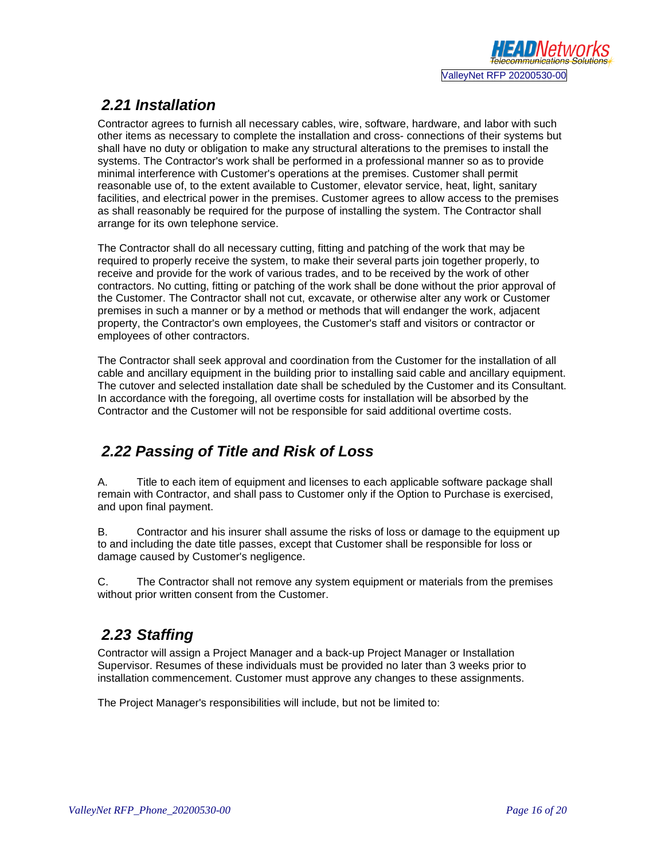

# *2.21 Installation*

Contractor agrees to furnish all necessary cables, wire, software, hardware, and labor with such other items as necessary to complete the installation and cross- connections of their systems but shall have no duty or obligation to make any structural alterations to the premises to install the systems. The Contractor's work shall be performed in a professional manner so as to provide minimal interference with Customer's operations at the premises. Customer shall permit reasonable use of, to the extent available to Customer, elevator service, heat, light, sanitary facilities, and electrical power in the premises. Customer agrees to allow access to the premises as shall reasonably be required for the purpose of installing the system. The Contractor shall arrange for its own telephone service.

The Contractor shall do all necessary cutting, fitting and patching of the work that may be required to properly receive the system, to make their several parts join together properly, to receive and provide for the work of various trades, and to be received by the work of other contractors. No cutting, fitting or patching of the work shall be done without the prior approval of the Customer. The Contractor shall not cut, excavate, or otherwise alter any work or Customer premises in such a manner or by a method or methods that will endanger the work, adjacent property, the Contractor's own employees, the Customer's staff and visitors or contractor or employees of other contractors.

The Contractor shall seek approval and coordination from the Customer for the installation of all cable and ancillary equipment in the building prior to installing said cable and ancillary equipment. The cutover and selected installation date shall be scheduled by the Customer and its Consultant. In accordance with the foregoing, all overtime costs for installation will be absorbed by the Contractor and the Customer will not be responsible for said additional overtime costs.

# *2.22 Passing of Title and Risk of Loss*

A. Title to each item of equipment and licenses to each applicable software package shall remain with Contractor, and shall pass to Customer only if the Option to Purchase is exercised, and upon final payment.

B. Contractor and his insurer shall assume the risks of loss or damage to the equipment up to and including the date title passes, except that Customer shall be responsible for loss or damage caused by Customer's negligence.

C. The Contractor shall not remove any system equipment or materials from the premises without prior written consent from the Customer.

# *2.23 Staffing*

Contractor will assign a Project Manager and a back-up Project Manager or Installation Supervisor. Resumes of these individuals must be provided no later than 3 weeks prior to installation commencement. Customer must approve any changes to these assignments.

The Project Manager's responsibilities will include, but not be limited to: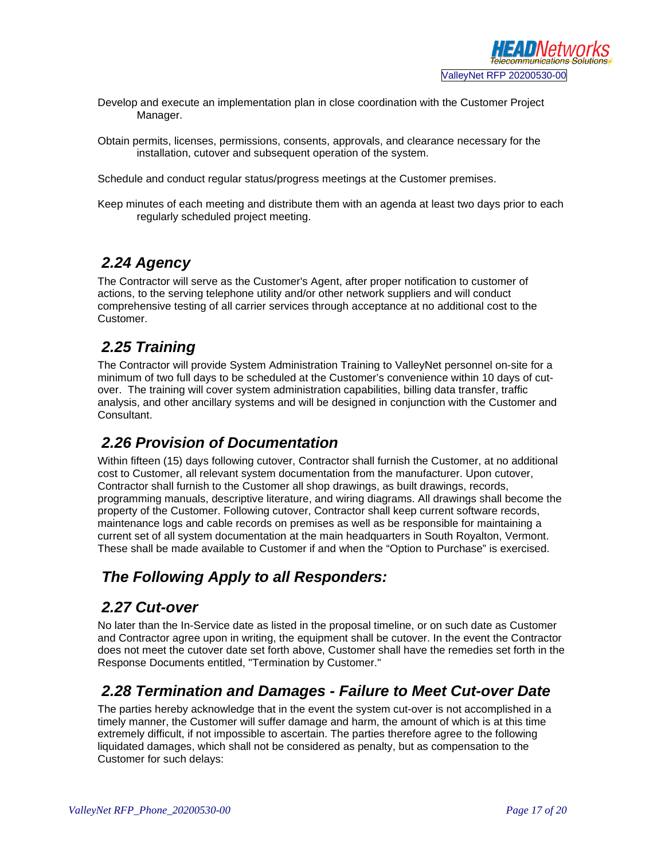- Develop and execute an implementation plan in close coordination with the Customer Project Manager.
- Obtain permits, licenses, permissions, consents, approvals, and clearance necessary for the installation, cutover and subsequent operation of the system.

Schedule and conduct regular status/progress meetings at the Customer premises.

Keep minutes of each meeting and distribute them with an agenda at least two days prior to each regularly scheduled project meeting.

# *2.24 Agency*

The Contractor will serve as the Customer's Agent, after proper notification to customer of actions, to the serving telephone utility and/or other network suppliers and will conduct comprehensive testing of all carrier services through acceptance at no additional cost to the Customer.

#### *2.25 Training*

The Contractor will provide System Administration Training to ValleyNet personnel on-site for a minimum of two full days to be scheduled at the Customer's convenience within 10 days of cutover. The training will cover system administration capabilities, billing data transfer, traffic analysis, and other ancillary systems and will be designed in conjunction with the Customer and Consultant.

# *2.26 Provision of Documentation*

Within fifteen (15) days following cutover, Contractor shall furnish the Customer, at no additional cost to Customer, all relevant system documentation from the manufacturer. Upon cutover, Contractor shall furnish to the Customer all shop drawings, as built drawings, records, programming manuals, descriptive literature, and wiring diagrams. All drawings shall become the property of the Customer. Following cutover, Contractor shall keep current software records, maintenance logs and cable records on premises as well as be responsible for maintaining a current set of all system documentation at the main headquarters in South Royalton, Vermont. These shall be made available to Customer if and when the "Option to Purchase" is exercised.

# *The Following Apply to all Responders:*

#### *2.27 Cut-over*

No later than the In-Service date as listed in the proposal timeline, or on such date as Customer and Contractor agree upon in writing, the equipment shall be cutover. In the event the Contractor does not meet the cutover date set forth above, Customer shall have the remedies set forth in the Response Documents entitled, "Termination by Customer."

# *2.28 Termination and Damages - Failure to Meet Cut-over Date*

The parties hereby acknowledge that in the event the system cut-over is not accomplished in a timely manner, the Customer will suffer damage and harm, the amount of which is at this time extremely difficult, if not impossible to ascertain. The parties therefore agree to the following liquidated damages, which shall not be considered as penalty, but as compensation to the Customer for such delays: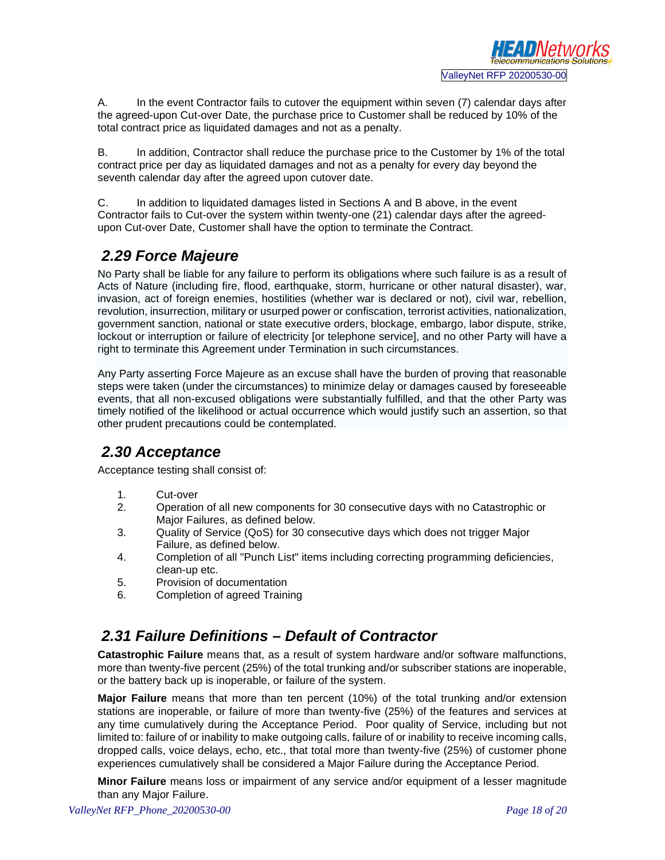

A. In the event Contractor fails to cutover the equipment within seven (7) calendar days after the agreed-upon Cut-over Date, the purchase price to Customer shall be reduced by 10% of the total contract price as liquidated damages and not as a penalty.

B. In addition, Contractor shall reduce the purchase price to the Customer by 1% of the total contract price per day as liquidated damages and not as a penalty for every day beyond the seventh calendar day after the agreed upon cutover date.

C. In addition to liquidated damages listed in Sections A and B above, in the event Contractor fails to Cut-over the system within twenty-one (21) calendar days after the agreedupon Cut-over Date, Customer shall have the option to terminate the Contract.

#### *2.29 Force Majeure*

No Party shall be liable for any failure to perform its obligations where such failure is as a result of Acts of Nature (including fire, flood, earthquake, storm, hurricane or other natural disaster), war, invasion, act of foreign enemies, hostilities (whether war is declared or not), civil war, rebellion, revolution, insurrection, military or usurped power or confiscation, terrorist activities, nationalization, government sanction, national or state executive orders, blockage, embargo, labor dispute, strike, lockout or interruption or failure of electricity [or telephone service], and no other Party will have a right to terminate this Agreement under Termination in such circumstances.

Any Party asserting Force Majeure as an excuse shall have the burden of proving that reasonable steps were taken (under the circumstances) to minimize delay or damages caused by foreseeable events, that all non-excused obligations were substantially fulfilled, and that the other Party was timely notified of the likelihood or actual occurrence which would justify such an assertion, so that other prudent precautions could be contemplated.

# *2.30 Acceptance*

Acceptance testing shall consist of:

- 1. Cut-over
- 2. Operation of all new components for 30 consecutive days with no Catastrophic or Major Failures, as defined below.
- 3. Quality of Service (QoS) for 30 consecutive days which does not trigger Major Failure, as defined below.
- 4. Completion of all "Punch List" items including correcting programming deficiencies, clean-up etc.
- 5. Provision of documentation
- 6. Completion of agreed Training

#### *2.31 Failure Definitions – Default of Contractor*

**Catastrophic Failure** means that, as a result of system hardware and/or software malfunctions, more than twenty-five percent (25%) of the total trunking and/or subscriber stations are inoperable, or the battery back up is inoperable, or failure of the system.

**Major Failure** means that more than ten percent (10%) of the total trunking and/or extension stations are inoperable, or failure of more than twenty-five (25%) of the features and services at any time cumulatively during the Acceptance Period. Poor quality of Service, including but not limited to: failure of or inability to make outgoing calls, failure of or inability to receive incoming calls, dropped calls, voice delays, echo, etc., that total more than twenty-five (25%) of customer phone experiences cumulatively shall be considered a Major Failure during the Acceptance Period.

**Minor Failure** means loss or impairment of any service and/or equipment of a lesser magnitude than any Major Failure.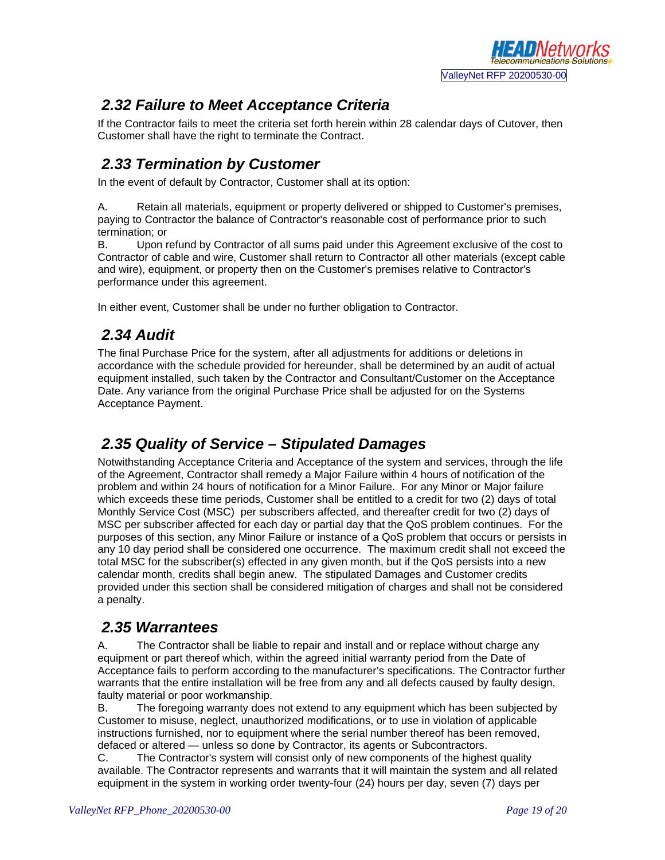

#### *2.32 Failure to Meet Acceptance Criteria*

If the Contractor fails to meet the criteria set forth herein within 28 calendar days of Cutover, then Customer shall have the right to terminate the Contract.

#### *2.33 Termination by Customer*

In the event of default by Contractor, Customer shall at its option:

A. Retain all materials, equipment or property delivered or shipped to Customer's premises, paying to Contractor the balance of Contractor's reasonable cost of performance prior to such termination; or

B. Upon refund by Contractor of all sums paid under this Agreement exclusive of the cost to Contractor of cable and wire, Customer shall return to Contractor all other materials (except cable and wire), equipment, or property then on the Customer's premises relative to Contractor's performance under this agreement.

In either event, Customer shall be under no further obligation to Contractor.

#### *2.34 Audit*

The final Purchase Price for the system, after all adjustments for additions or deletions in accordance with the schedule provided for hereunder, shall be determined by an audit of actual equipment installed, such taken by the Contractor and Consultant/Customer on the Acceptance Date. Any variance from the original Purchase Price shall be adjusted for on the Systems Acceptance Payment.

#### *2.35 Quality of Service – Stipulated Damages*

Notwithstanding Acceptance Criteria and Acceptance of the system and services, through the life of the Agreement, Contractor shall remedy a Major Failure within 4 hours of notification of the problem and within 24 hours of notification for a Minor Failure. For any Minor or Major failure which exceeds these time periods, Customer shall be entitled to a credit for two (2) days of total Monthly Service Cost (MSC) per subscribers affected, and thereafter credit for two (2) days of MSC per subscriber affected for each day or partial day that the QoS problem continues. For the purposes of this section, any Minor Failure or instance of a QoS problem that occurs or persists in any 10 day period shall be considered one occurrence. The maximum credit shall not exceed the total MSC for the subscriber(s) effected in any given month, but if the QoS persists into a new calendar month, credits shall begin anew. The stipulated Damages and Customer credits provided under this section shall be considered mitigation of charges and shall not be considered a penalty.

#### *2.35 Warrantees*

A. The Contractor shall be liable to repair and install and or replace without charge any equipment or part thereof which, within the agreed initial warranty period from the Date of Acceptance fails to perform according to the manufacturer's specifications. The Contractor further warrants that the entire installation will be free from any and all defects caused by faulty design, faulty material or poor workmanship.

B. The foregoing warranty does not extend to any equipment which has been subjected by Customer to misuse, neglect, unauthorized modifications, or to use in violation of applicable instructions furnished, nor to equipment where the serial number thereof has been removed, defaced or altered — unless so done by Contractor, its agents or Subcontractors.<br>C. The Contractor's system will consist only of new components of the higher

The Contractor's system will consist only of new components of the highest quality available. The Contractor represents and warrants that it will maintain the system and all related equipment in the system in working order twenty-four (24) hours per day, seven (7) days per